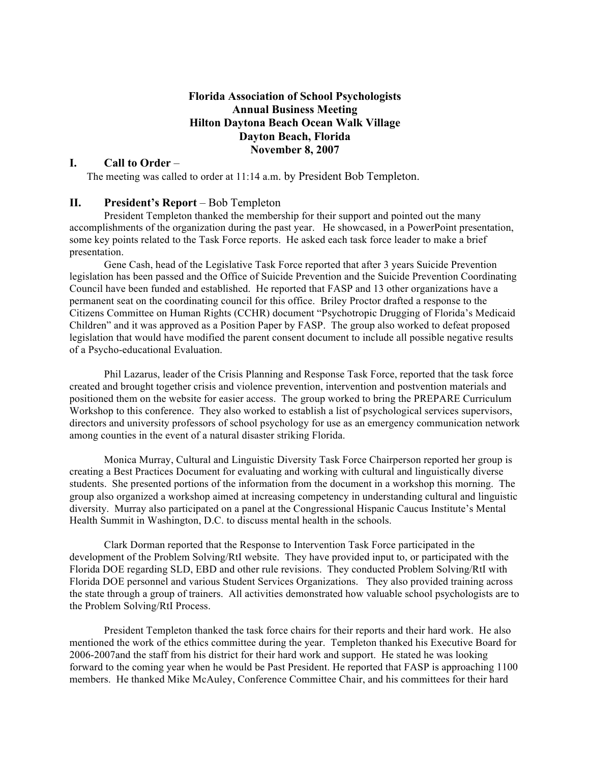#### **Florida Association of School Psychologists Annual Business Meeting Hilton Daytona Beach Ocean Walk Village Dayton Beach, Florida November 8, 2007**

#### **I. Call to Order** –

The meeting was called to order at 11:14 a.m. by President Bob Templeton.

#### **II. President's Report** – Bob Templeton

President Templeton thanked the membership for their support and pointed out the many accomplishments of the organization during the past year. He showcased, in a PowerPoint presentation, some key points related to the Task Force reports. He asked each task force leader to make a brief presentation.

Gene Cash, head of the Legislative Task Force reported that after 3 years Suicide Prevention legislation has been passed and the Office of Suicide Prevention and the Suicide Prevention Coordinating Council have been funded and established. He reported that FASP and 13 other organizations have a permanent seat on the coordinating council for this office. Briley Proctor drafted a response to the Citizens Committee on Human Rights (CCHR) document "Psychotropic Drugging of Florida's Medicaid Children" and it was approved as a Position Paper by FASP. The group also worked to defeat proposed legislation that would have modified the parent consent document to include all possible negative results of a Psycho-educational Evaluation.

Phil Lazarus, leader of the Crisis Planning and Response Task Force, reported that the task force created and brought together crisis and violence prevention, intervention and postvention materials and positioned them on the website for easier access. The group worked to bring the PREPARE Curriculum Workshop to this conference. They also worked to establish a list of psychological services supervisors, directors and university professors of school psychology for use as an emergency communication network among counties in the event of a natural disaster striking Florida.

Monica Murray, Cultural and Linguistic Diversity Task Force Chairperson reported her group is creating a Best Practices Document for evaluating and working with cultural and linguistically diverse students. She presented portions of the information from the document in a workshop this morning. The group also organized a workshop aimed at increasing competency in understanding cultural and linguistic diversity. Murray also participated on a panel at the Congressional Hispanic Caucus Institute's Mental Health Summit in Washington, D.C. to discuss mental health in the schools.

Clark Dorman reported that the Response to Intervention Task Force participated in the development of the Problem Solving/RtI website. They have provided input to, or participated with the Florida DOE regarding SLD, EBD and other rule revisions. They conducted Problem Solving/RtI with Florida DOE personnel and various Student Services Organizations. They also provided training across the state through a group of trainers. All activities demonstrated how valuable school psychologists are to the Problem Solving/RtI Process.

President Templeton thanked the task force chairs for their reports and their hard work. He also mentioned the work of the ethics committee during the year. Templeton thanked his Executive Board for 2006-2007and the staff from his district for their hard work and support. He stated he was looking forward to the coming year when he would be Past President. He reported that FASP is approaching 1100 members. He thanked Mike McAuley, Conference Committee Chair, and his committees for their hard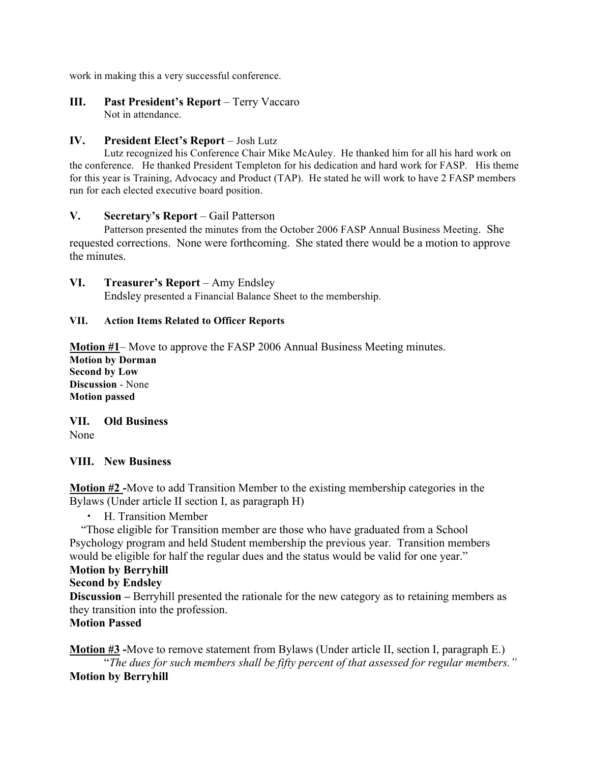work in making this a very successful conference.

**III. Past President's Report** – Terry Vaccaro Not in attendance.

## **IV. President Elect's Report** – Josh Lutz

Lutz recognized his Conference Chair Mike McAuley. He thanked him for all his hard work on the conference. He thanked President Templeton for his dedication and hard work for FASP. His theme for this year is Training, Advocacy and Product (TAP). He stated he will work to have 2 FASP members run for each elected executive board position.

## **V. Secretary's Report** – Gail Patterson

Patterson presented the minutes from the October 2006 FASP Annual Business Meeting. She requested corrections. None were forthcoming. She stated there would be a motion to approve the minutes.

## **VI. Treasurer's Report** – Amy Endsley

Endsley presented a Financial Balance Sheet to the membership.

## **VII. Action Items Related to Officer Reports**

**Motion #1**– Move to approve the FASP 2006 Annual Business Meeting minutes.

**Motion by Dorman Second by Low Discussion** - None **Motion passed**

**VII. Old Business** None

#### **VIII. New Business**

**Motion #2 -**Move to add Transition Member to the existing membership categories in the Bylaws (Under article II section I, as paragraph H)

• H. Transition Member

 "Those eligible for Transition member are those who have graduated from a School Psychology program and held Student membership the previous year. Transition members would be eligible for half the regular dues and the status would be valid for one year."

# **Motion by Berryhill**

**Second by Endsley**

**Discussion –** Berryhill presented the rationale for the new category as to retaining members as they transition into the profession.

**Motion Passed**

**Motion #3 -**Move to remove statement from Bylaws (Under article II, section I, paragraph E.) "*The dues for such members shall be fifty percent of that assessed for regular members."* **Motion by Berryhill**